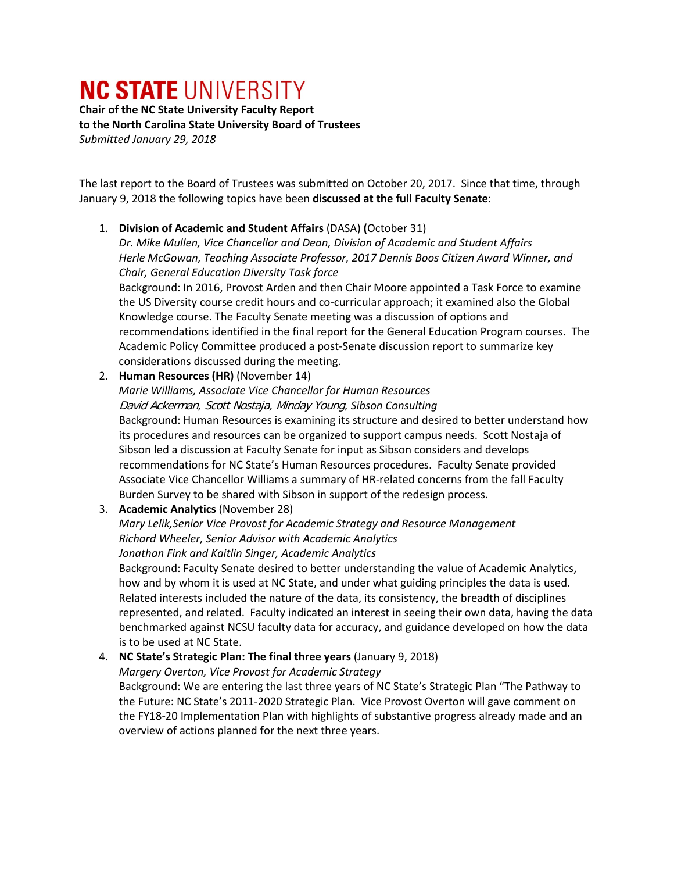# **NC STATE UNIVERSITY**

**Chair of the NC State University Faculty Report to the North Carolina State University Board of Trustees** *Submitted January 29, 2018*

The last report to the Board of Trustees was submitted on October 20, 2017. Since that time, through January 9, 2018 the following topics have been **discussed at the full Faculty Senate**:

#### 1. **Division of Academic and Student Affairs** (DASA) **(**October 31)

*Dr. Mike Mullen, Vice Chancellor and Dean, Division of Academic and Student Affairs Herle McGowan, Teaching Associate Professor, 2017 Dennis Boos Citizen Award Winner, and Chair, General Education Diversity Task force*

Background: In 2016, Provost Arden and then Chair Moore appointed a Task Force to examine the US Diversity course credit hours and co-curricular approach; it examined also the Global Knowledge course. The Faculty Senate meeting was a discussion of options and recommendations identified in the final report for the General Education Program courses. The Academic Policy Committee produced a post-Senate discussion report to summarize key considerations discussed during the meeting.

# 2. **Human Resources (HR)** (November 14)

*Marie Williams, Associate Vice Chancellor for Human Resources* David Ackerman, Scott Nostaja, Minday Young, *Sibson Consulting* Background: Human Resources is examining its structure and desired to better understand how its procedures and resources can be organized to support campus needs. Scott Nostaja of Sibson led a discussion at Faculty Senate for input as Sibson considers and develops recommendations for NC State's Human Resources procedures. Faculty Senate provided Associate Vice Chancellor Williams a summary of HR-related concerns from the fall Faculty Burden Survey to be shared with Sibson in support of the redesign process.

# 3. **Academic Analytics** (November 28)

#### *Mary Lelik,Senior Vice Provost for Academic Strategy and Resource Management Richard Wheeler, Senior Advisor with Academic Analytics Jonathan Fink and Kaitlin Singer, Academic Analytics*

Background: Faculty Senate desired to better understanding the value of Academic Analytics, how and by whom it is used at NC State, and under what guiding principles the data is used. Related interests included the nature of the data, its consistency, the breadth of disciplines represented, and related. Faculty indicated an interest in seeing their own data, having the data benchmarked against NCSU faculty data for accuracy, and guidance developed on how the data is to be used at NC State.

# 4. **NC State's Strategic Plan: The final three years** (January 9, 2018)

*Margery Overton, Vice Provost for Academic Strategy* Background: We are entering the last three years of NC State's Strategic Plan "The Pathway to

the Future: NC State's 2011-2020 Strategic Plan. Vice Provost Overton will gave comment on the FY18-20 Implementation Plan with highlights of substantive progress already made and an overview of actions planned for the next three years.